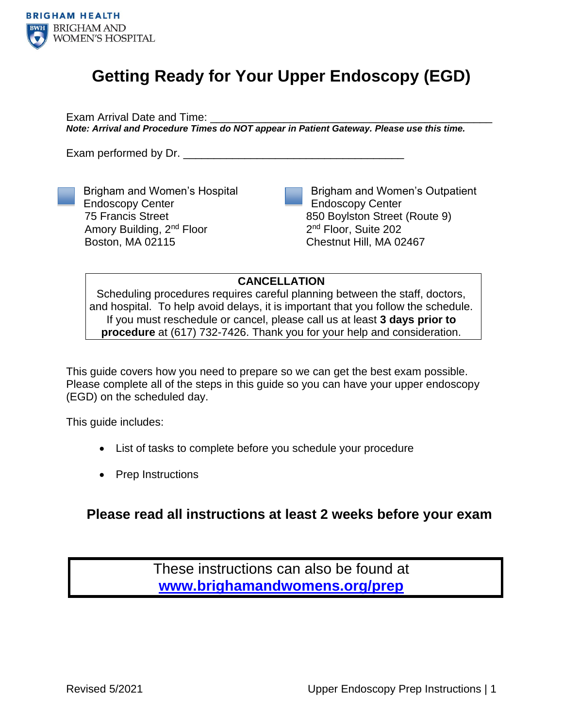

# **Getting Ready for Your Upper Endoscopy (EGD)**

Exam Arrival Date and Time: \_\_\_\_\_\_\_\_\_\_\_\_\_\_\_\_\_\_\_\_\_\_\_\_\_\_\_\_\_\_\_\_\_\_\_\_\_\_\_\_\_\_\_\_\_\_ *Note: Arrival and Procedure Times do NOT appear in Patient Gateway. Please use this time.*

Exam performed by Dr.



Brigham and Women's Hospital Endoscopy Center 75 Francis Street Amory Building, 2nd Floor Boston, MA 02115

Brigham and Women's Outpatient Endoscopy Center 850 Boylston Street (Route 9) 2<sup>nd</sup> Floor, Suite 202 Chestnut Hill, MA 02467

**CANCELLATION**

Scheduling procedures requires careful planning between the staff, doctors, and hospital. To help avoid delays, it is important that you follow the schedule. If you must reschedule or cancel, please call us at least **3 days prior to procedure** at (617) 732-7426. Thank you for your help and consideration.

This guide covers how you need to prepare so we can get the best exam possible. Please complete all of the steps in this guide so you can have your upper endoscopy (EGD) on the scheduled day.

This guide includes:

- List of tasks to complete before you schedule your procedure
- Prep Instructions

### **Please read all instructions at least 2 weeks before your exam**

These instructions can also be found at **[www.brighamandwomens.org/prep](http://www.brighamandwomens.org/prep)**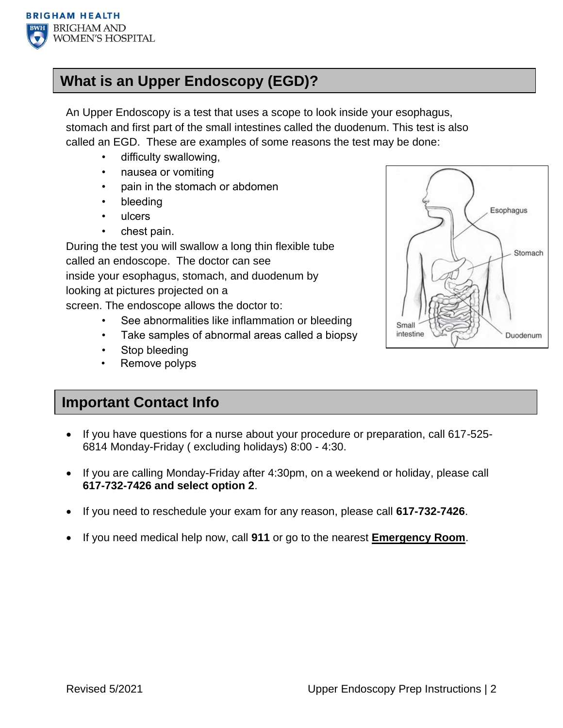

## **What is an Upper Endoscopy (EGD)?**

An Upper Endoscopy is a test that uses a scope to look inside your esophagus, stomach and first part of the small intestines called the duodenum. This test is also called an EGD. These are examples of some reasons the test may be done:

- difficulty swallowing,
- nausea or vomiting
- pain in the stomach or abdomen
- bleeding
- ulcers
- chest pain.

During the test you will swallow a long thin flexible tube called an endoscope. The doctor can see inside your esophagus, stomach, and duodenum by looking at pictures projected on a screen. The endoscope allows the doctor to:

- See abnormalities like inflammation or bleeding
- Take samples of abnormal areas called a biopsy
- Stop bleeding
- Remove polyps

### **Important Contact Info**

- If you have questions for a nurse about your procedure or preparation, call 617-525- 6814 Monday-Friday ( excluding holidays) 8:00 - 4:30.
- If you are calling Monday-Friday after 4:30pm, on a weekend or holiday, please call **617-732-7426 and select option 2**.
- If you need to reschedule your exam for any reason, please call **617-732-7426**.
- If you need medical help now, call **911** or go to the nearest **Emergency Room**.

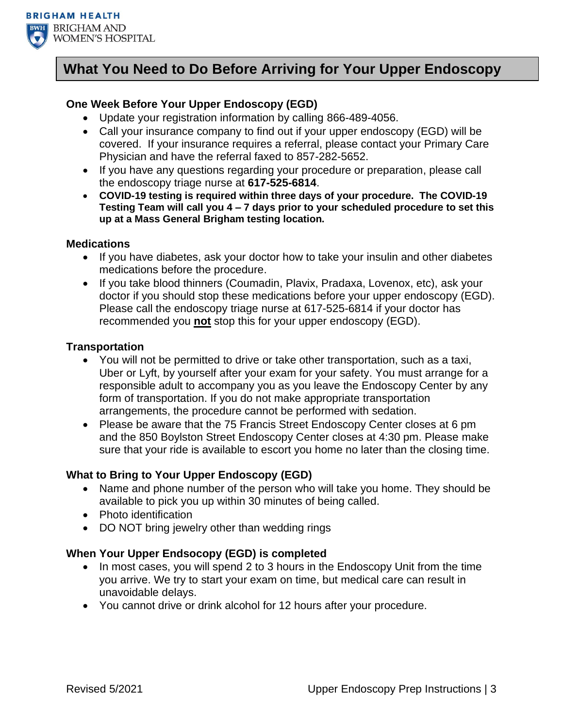

### **What You Need to Do Before Arriving for Your Upper Endoscopy**

#### **One Week Before Your Upper Endoscopy (EGD)**

- Update your registration information by calling 866-489-4056.
- Call your insurance company to find out if your upper endoscopy (EGD) will be covered. If your insurance requires a referral, please contact your Primary Care Physician and have the referral faxed to 857-282-5652.
- If you have any questions regarding your procedure or preparation, please call the endoscopy triage nurse at **617-525-6814**.
- **COVID-19 testing is required within three days of your procedure. The COVID-19 Testing Team will call you 4 – 7 days prior to your scheduled procedure to set this up at a Mass General Brigham testing location.**

#### **Medications**

- If you have diabetes, ask your doctor how to take your insulin and other diabetes medications before the procedure.
- If you take blood thinners (Coumadin, Plavix, Pradaxa, Lovenox, etc), ask your doctor if you should stop these medications before your upper endoscopy (EGD). Please call the endoscopy triage nurse at 617-525-6814 if your doctor has recommended you **not** stop this for your upper endoscopy (EGD).

#### **Transportation**

- You will not be permitted to drive or take other transportation, such as a taxi, Uber or Lyft, by yourself after your exam for your safety. You must arrange for a responsible adult to accompany you as you leave the Endoscopy Center by any form of transportation. If you do not make appropriate transportation arrangements, the procedure cannot be performed with sedation.
- Please be aware that the 75 Francis Street Endoscopy Center closes at 6 pm and the 850 Boylston Street Endoscopy Center closes at 4:30 pm. Please make sure that your ride is available to escort you home no later than the closing time.

#### **What to Bring to Your Upper Endoscopy (EGD)**

- Name and phone number of the person who will take you home. They should be available to pick you up within 30 minutes of being called.
- Photo identification
- DO NOT bring jewelry other than wedding rings

#### **When Your Upper Endsocopy (EGD) is completed**

- In most cases, you will spend 2 to 3 hours in the Endoscopy Unit from the time you arrive. We try to start your exam on time, but medical care can result in unavoidable delays.
- You cannot drive or drink alcohol for 12 hours after your procedure.